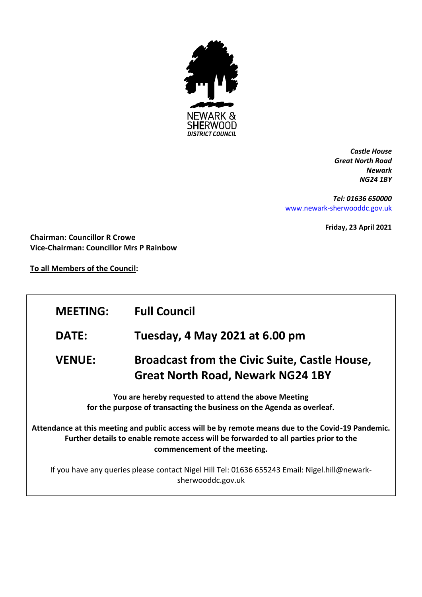

*Castle House Great North Road Newark NG24 1BY*

*Tel: 01636 650000* [www.newark-sherwooddc.gov.uk](http://www.newark-sherwooddc.gov.uk/)

**Friday, 23 April 2021**

**Chairman: Councillor R Crowe Vice-Chairman: Councillor Mrs P Rainbow**

**To all Members of the Council:**

| <b>MEETING:</b>                                                                                                                                                                                                             | <b>Full Council</b>                                                                              |  |
|-----------------------------------------------------------------------------------------------------------------------------------------------------------------------------------------------------------------------------|--------------------------------------------------------------------------------------------------|--|
| <b>DATE:</b>                                                                                                                                                                                                                | Tuesday, 4 May 2021 at 6.00 pm                                                                   |  |
| <b>VENUE:</b>                                                                                                                                                                                                               | <b>Broadcast from the Civic Suite, Castle House,</b><br><b>Great North Road, Newark NG24 1BY</b> |  |
| You are hereby requested to attend the above Meeting<br>for the purpose of transacting the business on the Agenda as overleaf.                                                                                              |                                                                                                  |  |
| Attendance at this meeting and public access will be by remote means due to the Covid-19 Pandemic.<br>Further details to enable remote access will be forwarded to all parties prior to the<br>commencement of the meeting. |                                                                                                  |  |
| If you have any queries please contact Nigel Hill Tel: 01636 655243 Email: Nigel.hill@newark-<br>sherwooddc.gov.uk                                                                                                          |                                                                                                  |  |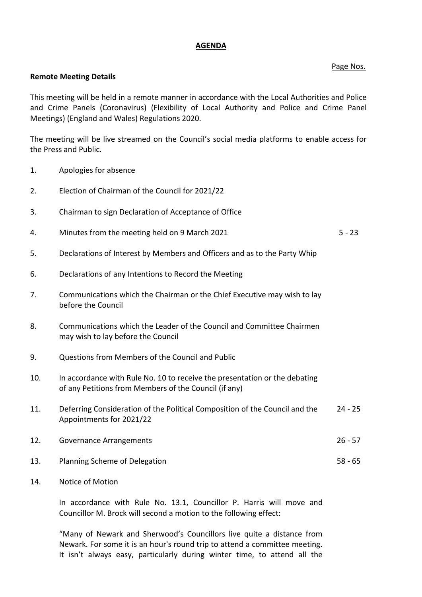## **AGENDA**

## Page Nos.

## **Remote Meeting Details**

This meeting will be held in a remote manner in accordance with the Local Authorities and Police and Crime Panels (Coronavirus) (Flexibility of Local Authority and Police and Crime Panel Meetings) (England and Wales) Regulations 2020.

The meeting will be live streamed on the Council's social media platforms to enable access for the Press and Public.

- 1. Apologies for absence
- 2. Election of Chairman of the Council for 2021/22
- 3. Chairman to sign Declaration of Acceptance of Office
- 4. Minutes from the meeting held on 9 March 2021 5 23
- 5. Declarations of Interest by Members and Officers and as to the Party Whip
- 6. Declarations of any Intentions to Record the Meeting
- 7. Communications which the Chairman or the Chief Executive may wish to lay before the Council
- 8. Communications which the Leader of the Council and Committee Chairmen may wish to lay before the Council
- 9. Questions from Members of the Council and Public
- 10. In accordance with Rule No. 10 to receive the presentation or the debating of any Petitions from Members of the Council (if any)
- 11. Deferring Consideration of the Political Composition of the Council and the Appointments for 2021/22 24 - 25
- 12. Governance Arrangements 26 57
- 13. Planning Scheme of Delegation 58 65
- 14. Notice of Motion

In accordance with Rule No. 13.1, Councillor P. Harris will move and Councillor M. Brock will second a motion to the following effect:

"Many of Newark and Sherwood's Councillors live quite a distance from Newark. For some it is an hour's round trip to attend a committee meeting. It isn't always easy, particularly during winter time, to attend all the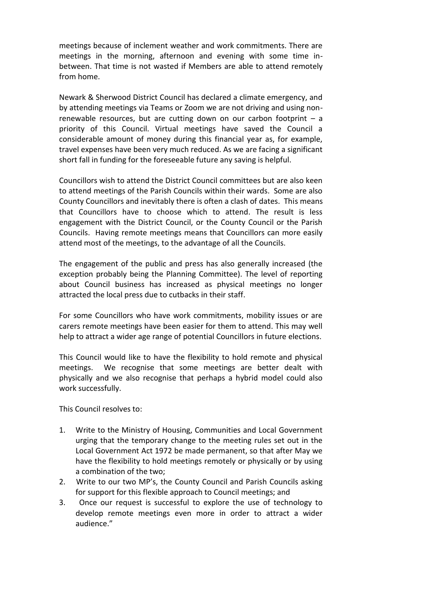meetings because of inclement weather and work commitments. There are meetings in the morning, afternoon and evening with some time inbetween. That time is not wasted if Members are able to attend remotely from home.

Newark & Sherwood District Council has declared a climate emergency, and by attending meetings via Teams or Zoom we are not driving and using nonrenewable resources, but are cutting down on our carbon footprint – a priority of this Council. Virtual meetings have saved the Council a considerable amount of money during this financial year as, for example, travel expenses have been very much reduced. As we are facing a significant short fall in funding for the foreseeable future any saving is helpful.

Councillors wish to attend the District Council committees but are also keen to attend meetings of the Parish Councils within their wards. Some are also County Councillors and inevitably there is often a clash of dates. This means that Councillors have to choose which to attend. The result is less engagement with the District Council, or the County Council or the Parish Councils. Having remote meetings means that Councillors can more easily attend most of the meetings, to the advantage of all the Councils.

The engagement of the public and press has also generally increased (the exception probably being the Planning Committee). The level of reporting about Council business has increased as physical meetings no longer attracted the local press due to cutbacks in their staff.

For some Councillors who have work commitments, mobility issues or are carers remote meetings have been easier for them to attend. This may well help to attract a wider age range of potential Councillors in future elections.

This Council would like to have the flexibility to hold remote and physical meetings. We recognise that some meetings are better dealt with physically and we also recognise that perhaps a hybrid model could also work successfully.

This Council resolves to:

- 1. Write to the Ministry of Housing, Communities and Local Government urging that the temporary change to the meeting rules set out in the Local Government Act 1972 be made permanent, so that after May we have the flexibility to hold meetings remotely or physically or by using a combination of the two;
- 2. Write to our two MP's, the County Council and Parish Councils asking for support for this flexible approach to Council meetings; and
- 3. Once our request is successful to explore the use of technology to develop remote meetings even more in order to attract a wider audience."